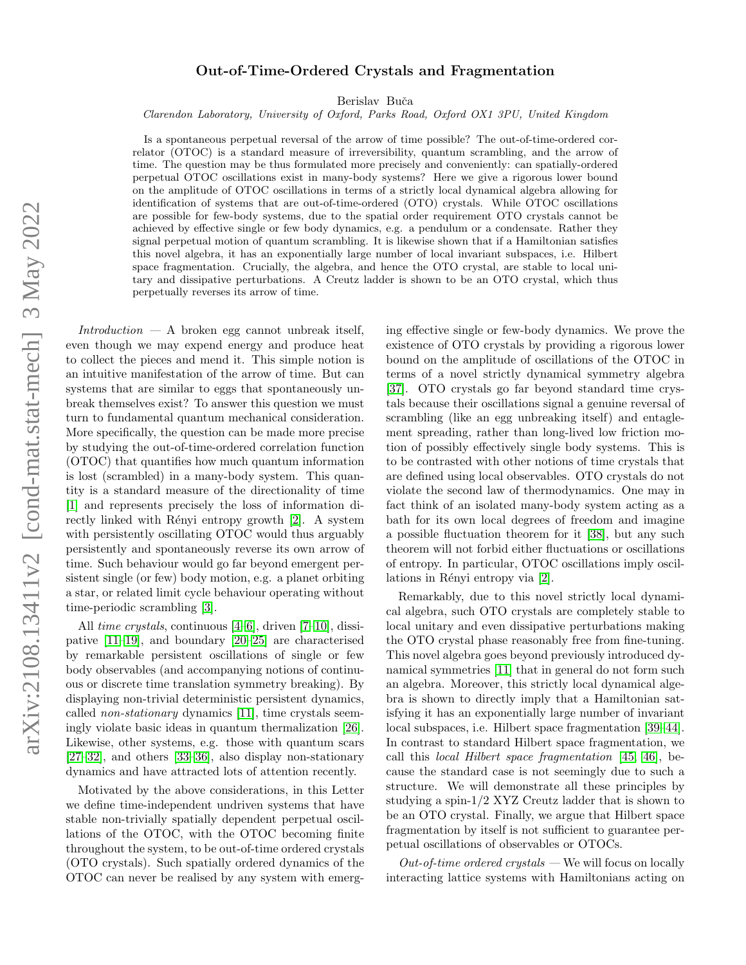## Out-of-Time-Ordered Crystals and Fragmentation

Berislav Buča

Clarendon Laboratory, University of Oxford, Parks Road, Oxford OX1 3PU, United Kingdom

Is a spontaneous perpetual reversal of the arrow of time possible? The out-of-time-ordered correlator (OTOC) is a standard measure of irreversibility, quantum scrambling, and the arrow of time. The question may be thus formulated more precisely and conveniently: can spatially-ordered perpetual OTOC oscillations exist in many-body systems? Here we give a rigorous lower bound on the amplitude of OTOC oscillations in terms of a strictly local dynamical algebra allowing for identification of systems that are out-of-time-ordered (OTO) crystals. While OTOC oscillations are possible for few-body systems, due to the spatial order requirement OTO crystals cannot be achieved by effective single or few body dynamics, e.g. a pendulum or a condensate. Rather they signal perpetual motion of quantum scrambling. It is likewise shown that if a Hamiltonian satisfies this novel algebra, it has an exponentially large number of local invariant subspaces, i.e. Hilbert space fragmentation. Crucially, the algebra, and hence the OTO crystal, are stable to local unitary and dissipative perturbations. A Creutz ladder is shown to be an OTO crystal, which thus perpetually reverses its arrow of time.

 $Introduction - A$  broken egg cannot unbreak itself, even though we may expend energy and produce heat to collect the pieces and mend it. This simple notion is an intuitive manifestation of the arrow of time. But can systems that are similar to eggs that spontaneously unbreak themselves exist? To answer this question we must turn to fundamental quantum mechanical consideration. More specifically, the question can be made more precise by studying the out-of-time-ordered correlation function (OTOC) that quantifies how much quantum information is lost (scrambled) in a many-body system. This quantity is a standard measure of the directionality of time [\[1\]](#page-4-0) and represents precisely the loss of information directly linked with Rényi entropy growth  $[2]$ . A system with persistently oscillating OTOC would thus arguably persistently and spontaneously reverse its own arrow of time. Such behaviour would go far beyond emergent persistent single (or few) body motion, e.g. a planet orbiting a star, or related limit cycle behaviour operating without time-periodic scrambling [\[3\]](#page-4-2).

All time crystals, continuous [\[4](#page-4-3)[–6\]](#page-4-4), driven [\[7](#page-4-5)[–10\]](#page-4-6), dissipative [\[11–](#page-4-7)[19\]](#page-4-8), and boundary [\[20](#page-4-9)[–25\]](#page-4-10) are characterised by remarkable persistent oscillations of single or few body observables (and accompanying notions of continuous or discrete time translation symmetry breaking). By displaying non-trivial deterministic persistent dynamics, called non-stationary dynamics [\[11\]](#page-4-7), time crystals seemingly violate basic ideas in quantum thermalization [\[26\]](#page-4-11). Likewise, other systems, e.g. those with quantum scars [\[27–](#page-4-12)[32\]](#page-5-0), and others [\[33](#page-5-1)[–36\]](#page-5-2), also display non-stationary dynamics and have attracted lots of attention recently.

Motivated by the above considerations, in this Letter we define time-independent undriven systems that have stable non-trivially spatially dependent perpetual oscillations of the OTOC, with the OTOC becoming finite throughout the system, to be out-of-time ordered crystals (OTO crystals). Such spatially ordered dynamics of the OTOC can never be realised by any system with emerging effective single or few-body dynamics. We prove the existence of OTO crystals by providing a rigorous lower bound on the amplitude of oscillations of the OTOC in terms of a novel strictly dynamical symmetry algebra [\[37\]](#page-5-3). OTO crystals go far beyond standard time crystals because their oscillations signal a genuine reversal of scrambling (like an egg unbreaking itself) and entaglement spreading, rather than long-lived low friction motion of possibly effectively single body systems. This is to be contrasted with other notions of time crystals that are defined using local observables. OTO crystals do not violate the second law of thermodynamics. One may in fact think of an isolated many-body system acting as a bath for its own local degrees of freedom and imagine a possible fluctuation theorem for it [\[38\]](#page-5-4), but any such theorem will not forbid either fluctuations or oscillations of entropy. In particular, OTOC oscillations imply oscil-lations in Rényi entropy via [\[2\]](#page-4-1).

Remarkably, due to this novel strictly local dynamical algebra, such OTO crystals are completely stable to local unitary and even dissipative perturbations making the OTO crystal phase reasonably free from fine-tuning. This novel algebra goes beyond previously introduced dynamical symmetries [\[11\]](#page-4-7) that in general do not form such an algebra. Moreover, this strictly local dynamical algebra is shown to directly imply that a Hamiltonian satisfying it has an exponentially large number of invariant local subspaces, i.e. Hilbert space fragmentation [\[39–](#page-5-5)[44\]](#page-5-6). In contrast to standard Hilbert space fragmentation, we call this local Hilbert space fragmentation [\[45,](#page-5-7) [46\]](#page-5-8), because the standard case is not seemingly due to such a structure. We will demonstrate all these principles by studying a spin-1/2 XYZ Creutz ladder that is shown to be an OTO crystal. Finally, we argue that Hilbert space fragmentation by itself is not sufficient to guarantee perpetual oscillations of observables or OTOCs.

 $Out-of-time ordered crystals$  — We will focus on locally interacting lattice systems with Hamiltonians acting on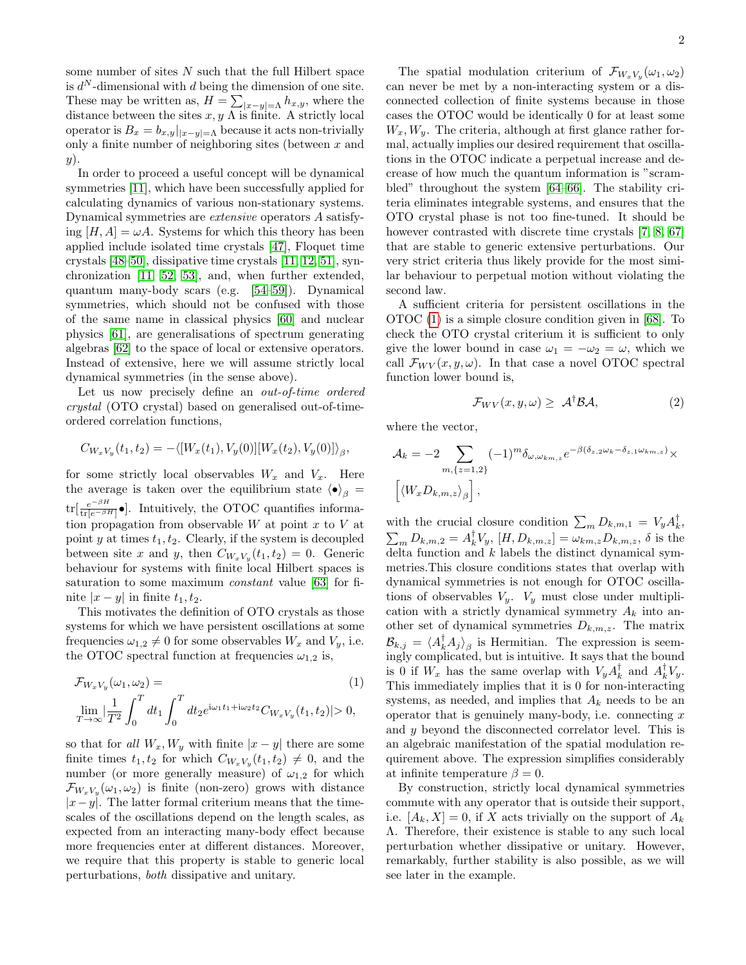some number of sites  $N$  such that the full Hilbert space is  $d^N$ -dimensional with d being the dimension of one site. These may be written as,  $H = \sum_{|x-y|=A} h_{x,y}$ , where the distance between the sites  $x, y \Lambda$  is finite. A strictly local operator is  $B_x = b_{x,y}|_{|x-y|=\Lambda}$  because it acts non-trivially only a finite number of neighboring sites (between  $x$  and  $y).$ 

In order to proceed a useful concept will be dynamical symmetries [\[11\]](#page-4-7), which have been successfully applied for calculating dynamics of various non-stationary systems. Dynamical symmetries are extensive operators A satisfying  $[H, A] = \omega A$ . Systems for which this theory has been applied include isolated time crystals [\[47\]](#page-5-9), Floquet time crystals [\[48](#page-5-10)[–50\]](#page-5-11), dissipative time crystals [\[11,](#page-4-7) [12,](#page-4-13) [51\]](#page-5-12), synchronization [\[11,](#page-4-7) [52,](#page-5-13) [53\]](#page-5-14), and, when further extended, quantum many-body scars (e.g. [\[54–](#page-5-15)[59\]](#page-5-16)). Dynamical symmetries, which should not be confused with those of the same name in classical physics [\[60\]](#page-5-17) and nuclear physics [\[61\]](#page-5-18), are generalisations of spectrum generating algebras [\[62\]](#page-5-19) to the space of local or extensive operators. Instead of extensive, here we will assume strictly local dynamical symmetries (in the sense above).

Let us now precisely define an *out-of-time ordered* crystal (OTO crystal) based on generalised out-of-timeordered correlation functions,

<span id="page-1-0"></span>
$$
C_{W_xV_y}(t_1, t_2) = -\langle [W_x(t_1), V_y(0)][W_x(t_2), V_y(0)] \rangle_{\beta},
$$

for some strictly local observables  $W_x$  and  $V_x$ . Here the average is taken over the equilibrium state  $\langle \bullet \rangle_{\beta} =$  $\mathrm{tr}[\frac{e^{-\beta H}}{\ln[e^{-\beta H}]}$  $\frac{e^{-\beta H}}{\ln[e^{-\beta H}]}\bullet]$ . Intuitively, the OTOC quantifies information propagation from observable  $W$  at point  $x$  to  $V$  at point y at times  $t_1, t_2$ . Clearly, if the system is decoupled between site x and y, then  $C_{W_xV_y}(t_1,t_2) = 0$ . Generic behaviour for systems with finite local Hilbert spaces is saturation to some maximum constant value [\[63\]](#page-5-20) for finite  $|x-y|$  in finite  $t_1, t_2$ .

This motivates the definition of OTO crystals as those systems for which we have persistent oscillations at some frequencies  $\omega_{1,2} \neq 0$  for some observables  $W_x$  and  $V_y$ , i.e. the OTOC spectral function at frequencies  $\omega_{1,2}$  is,

$$
\mathcal{F}_{W_x V_y}(\omega_1, \omega_2) =
$$
\n
$$
\lim_{T \to \infty} \left| \frac{1}{T^2} \int_0^T dt_1 \int_0^T dt_2 e^{i\omega_1 t_1 + i\omega_2 t_2} C_{W_x V_y}(t_1, t_2) \right| > 0,
$$
\n(1)

so that for all  $W_x, W_y$  with finite  $|x-y|$  there are some finite times  $t_1, t_2$  for which  $C_{W_xV_y}(t_1, t_2) \neq 0$ , and the number (or more generally measure) of  $\omega_{1,2}$  for which  $\mathcal{F}_{W_xV_y}(\omega_1,\omega_2)$  is finite (non-zero) grows with distance  $|x-y|$ . The latter formal criterium means that the timescales of the oscillations depend on the length scales, as expected from an interacting many-body effect because more frequencies enter at different distances. Moreover, we require that this property is stable to generic local perturbations, both dissipative and unitary.

The spatial modulation criterium of  $\mathcal{F}_{W_xV_y}(\omega_1, \omega_2)$ can never be met by a non-interacting system or a disconnected collection of finite systems because in those cases the OTOC would be identically 0 for at least some  $W_x, W_y$ . The criteria, although at first glance rather formal, actually implies our desired requirement that oscillations in the OTOC indicate a perpetual increase and decrease of how much the quantum information is "scrambled" throughout the system [\[64–](#page-5-21)[66\]](#page-5-22). The stability criteria eliminates integrable systems, and ensures that the OTO crystal phase is not too fine-tuned. It should be however contrasted with discrete time crystals [\[7,](#page-4-5) [8,](#page-4-14) [67\]](#page-5-23) that are stable to generic extensive perturbations. Our very strict criteria thus likely provide for the most similar behaviour to perpetual motion without violating the second law.

A sufficient criteria for persistent oscillations in the OTOC [\(1\)](#page-1-0) is a simple closure condition given in [\[68\]](#page-5-24). To check the OTO crystal criterium it is sufficient to only give the lower bound in case  $\omega_1 = -\omega_2 = \omega$ , which we call  $\mathcal{F}_{W V}(x, y, \omega)$ . In that case a novel OTOC spectral function lower bound is,

<span id="page-1-1"></span>
$$
\mathcal{F}_{WV}(x, y, \omega) \geq A^{\dagger} \mathcal{B} \mathcal{A}, \tag{2}
$$

where the vector,

$$
\mathcal{A}_k = -2 \sum_{m,\{z=1,2\}} (-1)^m \delta_{\omega,\omega_{km,z}} e^{-\beta(\delta_{z,2}\omega_k - \delta_{z,1}\omega_{km,z})} \times
$$

$$
\left[ \langle W_x D_{k,m,z} \rangle_\beta \right],
$$

with the crucial closure condition  $\sum_{m} D_{k,m,1} = V_y A_k^{\dagger}$ ,  $\sum_{m} D_{k,m,2} = A_k^{\dagger} V_y$ ,  $[H, D_{k,m,z}] = \omega_{km,z} D_{k,m,z}$ ,  $\delta$  is the delta function and  $k$  labels the distinct dynamical symmetries.This closure conditions states that overlap with dynamical symmetries is not enough for OTOC oscillations of observables  $V_y$ .  $V_y$  must close under multiplication with a strictly dynamical symmetry  $A_k$  into another set of dynamical symmetries  $D_{k,m,z}$ . The matrix  $\mathcal{B}_{k,j} = \langle A_k^{\dagger} A_j \rangle_{\beta}$  is Hermitian. The expression is seemingly complicated, but is intuitive. It says that the bound is 0 if  $W_x$  has the same overlap with  $V_y A_k^{\dagger}$  and  $A_k^{\dagger} V_y$ . This immediately implies that it is 0 for non-interacting systems, as needed, and implies that  $A_k$  needs to be an operator that is genuinely many-body, i.e. connecting  $x$ and y beyond the disconnected correlator level. This is an algebraic manifestation of the spatial modulation requirement above. The expression simplifies considerably at infinite temperature  $\beta = 0$ .

By construction, strictly local dynamical symmetries commute with any operator that is outside their support, i.e.  $[A_k, X] = 0$ , if X acts trivially on the support of  $A_k$ Λ. Therefore, their existence is stable to any such local perturbation whether dissipative or unitary. However, remarkably, further stability is also possible, as we will see later in the example.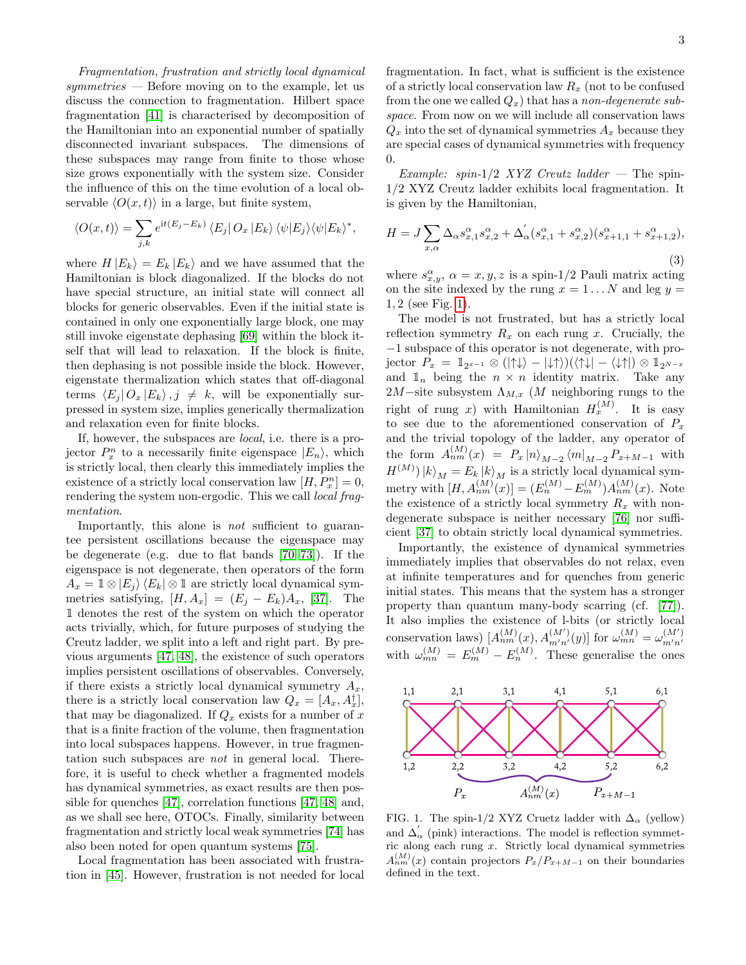Fragmentation, frustration and strictly local dynamical symmetries – Before moving on to the example, let us discuss the connection to fragmentation. Hilbert space fragmentation [\[41\]](#page-5-25) is characterised by decomposition of the Hamiltonian into an exponential number of spatially disconnected invariant subspaces. The dimensions of these subspaces may range from finite to those whose size grows exponentially with the system size. Consider the influence of this on the time evolution of a local observable  $\langle O(x, t) \rangle$  in a large, but finite system,

<span id="page-2-1"></span>
$$
\langle O(x,t)\rangle = \sum_{j,k} e^{it(E_j - E_k)} \langle E_j | O_x | E_k \rangle \langle \psi | E_j \rangle \langle \psi | E_k \rangle^*,
$$

where  $H |E_k\rangle = E_k |E_k\rangle$  and we have assumed that the Hamiltonian is block diagonalized. If the blocks do not have special structure, an initial state will connect all blocks for generic observables. Even if the initial state is contained in only one exponentially large block, one may still invoke eigenstate dephasing [\[69\]](#page-5-26) within the block itself that will lead to relaxation. If the block is finite, then dephasing is not possible inside the block. However, eigenstate thermalization which states that off-diagonal terms  $\langle E_i | O_x | E_k \rangle$ ,  $j \neq k$ , will be exponentially surpressed in system size, implies generically thermalization and relaxation even for finite blocks.

If, however, the subspaces are local, i.e. there is a projector  $P_x^n$  to a necessarily finite eigenspace  $|E_n\rangle$ , which is strictly local, then clearly this immediately implies the existence of a strictly local conservation law  $[H, P_x^n] = 0$ , rendering the system non-ergodic. This we call local fragmentation.

Importantly, this alone is not sufficient to guarantee persistent oscillations because the eigenspace may be degenerate (e.g. due to flat bands [\[70–](#page-5-27)[73\]](#page-5-28)). If the eigenspace is not degenerate, then operators of the form  $A_x = \mathbb{1} \otimes |E_i\rangle \langle E_k| \otimes \mathbb{1}$  are strictly local dynamical symmetries satisfying,  $[H, A_x] = (E_j - E_k)A_x$ , [\[37\]](#page-5-3). The 1 denotes the rest of the system on which the operator acts trivially, which, for future purposes of studying the Creutz ladder, we split into a left and right part. By previous arguments [\[47,](#page-5-9) [48\]](#page-5-10), the existence of such operators implies persistent oscillations of observables. Conversely, if there exists a strictly local dynamical symmetry  $A_x$ , there is a strictly local conservation law  $Q_x = [A_x, A_x^{\dagger}],$ that may be diagonalized. If  $Q_x$  exists for a number of x that is a finite fraction of the volume, then fragmentation into local subspaces happens. However, in true fragmentation such subspaces are not in general local. Therefore, it is useful to check whether a fragmented models has dynamical symmetries, as exact results are then possible for quenches [\[47\]](#page-5-9), correlation functions [\[47,](#page-5-9) [48\]](#page-5-10) and, as we shall see here, OTOCs. Finally, similarity between fragmentation and strictly local weak symmetries [\[74\]](#page-5-29) has also been noted for open quantum systems [\[75\]](#page-5-30).

Local fragmentation has been associated with frustration in [\[45\]](#page-5-7). However, frustration is not needed for local

fragmentation. In fact, what is sufficient is the existence of a strictly local conservation law  $R_x$  (not to be confused from the one we called  $Q_x$ ) that has a non-degenerate subspace. From now on we will include all conservation laws  $Q_x$  into the set of dynamical symmetries  $A_x$  because they are special cases of dynamical symmetries with frequency 0.

Example:  $spin-1/2$  XYZ Creutz ladder — The spin-1/2 XYZ Creutz ladder exhibits local fragmentation. It is given by the Hamiltonian,

$$
H = J \sum_{x,\alpha} \Delta_{\alpha} s_{x,1}^{\alpha} s_{x,2}^{\alpha} + \Delta_{\alpha}^{\prime} (s_{x,1}^{\alpha} + s_{x,2}^{\alpha}) (s_{x+1,1}^{\alpha} + s_{x+1,2}^{\alpha}),
$$
\n(3)

where  $s_{x,y}^{\alpha}$ ,  $\alpha = x, y, z$  is a spin-1/2 Pauli matrix acting on the site indexed by the rung  $x = 1...N$  and leg  $y =$ 1, 2 (see Fig. [1\)](#page-2-0).

The model is not frustrated, but has a strictly local reflection symmetry  $R_x$  on each rung x. Crucially, the −1 subspace of this operator is not degenerate, with projector  $P_x = \mathbb{1}_{2^{x-1}} \otimes (\ket{\uparrow\downarrow} - \ket{\downarrow\uparrow}) (\bra{\uparrow\downarrow} - \bra{\downarrow\uparrow}) \otimes \mathbb{1}_{2^{N-x}}$ and  $\mathbb{1}_n$  being the  $n \times n$  identity matrix. Take any 2M–site subsystem  $\Lambda_{M,x}$  (M neighboring rungs to the right of rung x) with Hamiltonian  $H_x^{(M)}$ . It is easy to see due to the aforementioned conservation of  $P_x$ and the trivial topology of the ladder, any operator of the form  $A_{nm}^{(M)}(x) = P_x |n\rangle_{M-2} \langle m|_{M-2} P_{x+M-1}$  with  $H^{(M)}) \ket{k}_M = E_k \ket{k}_M$  is a strictly local dynamical symmetry with  $[H, A_{nm}^{(M)}(x)] = (E_n^{(M)} - E_m^{(M)}) A_{nm}^{(M)}(x)$ . Note the existence of a strictly local symmetry  $R_x$  with nondegenerate subspace is neither necessary [\[76\]](#page-5-31) nor sufficient [\[37\]](#page-5-3) to obtain strictly local dynamical symmetries.

Importantly, the existence of dynamical symmetries immediately implies that observables do not relax, even at infinite temperatures and for quenches from generic initial states. This means that the system has a stronger property than quantum many-body scarring (cf. [\[77\]](#page-5-32)). It also implies the existence of l-bits (or strictly local conservation laws)  $[A_{nm}^{(M)}(x), A_{m'n'}^{(M')}(y)]$  for  $\omega_{mn}^{(M)} = \omega_{m'n'}^{(M')}$ with  $\omega_{mn}^{(M)} = E_m^{(M)} - E_n^{(M)}$ . These generalise the ones



<span id="page-2-0"></span>FIG. 1. The spin-1/2 XYZ Cruetz ladder with  $\Delta_{\alpha}$  (yellow) and  $\Delta_{\alpha}^{'}$  (pink) interactions. The model is reflection symmetric along each rung x. Strictly local dynamical symmetries  $A_{nm}^{(M)}(x)$  contain projectors  $P_x/P_{x+M-1}$  on their boundaries defined in the text.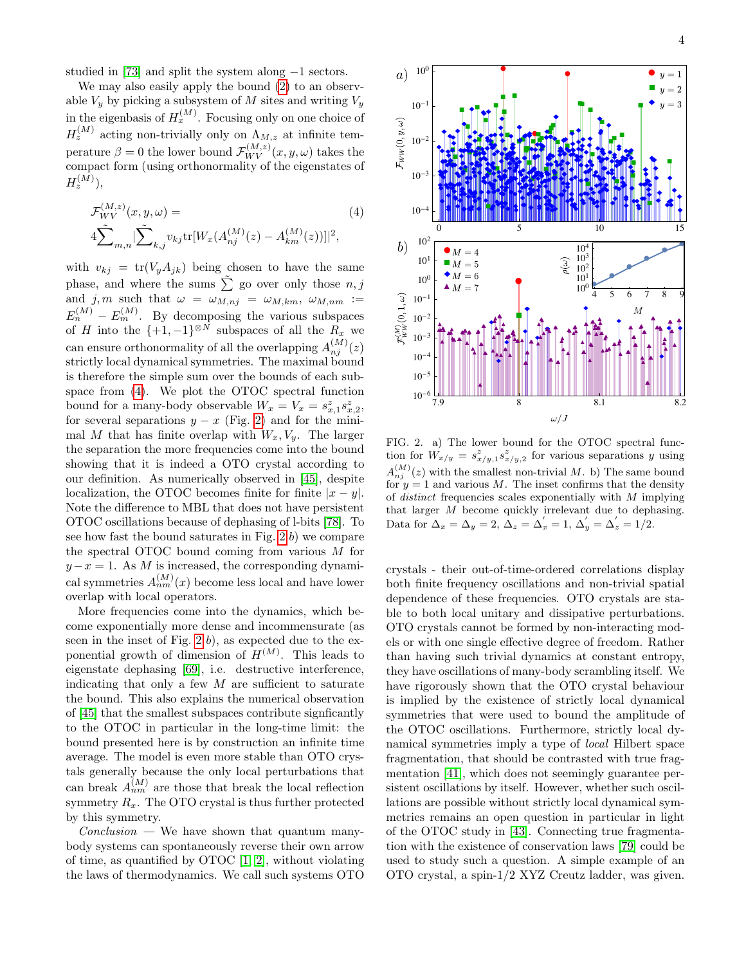studied in [\[73\]](#page-5-28) and split the system along −1 sectors.

We may also easily apply the bound [\(2\)](#page-1-1) to an observable  $V_y$  by picking a subsystem of M sites and writing  $V_y$ in the eigenbasis of  $H_x^{(M)}$ . Focusing only on one choice of  $H_z^{(M)}$  acting non-trivially only on  $\Lambda_{M,z}$  at infinite temperature  $\beta = 0$  the lower bound  $\mathcal{F}_{WV}^{(M,z)}(x, y, \omega)$  takes the compact form (using orthonormality of the eigenstates of  $H_z^{(M)}$ ),

$$
\mathcal{F}_{WV}^{(M,z)}(x, y, \omega) =
$$
\n
$$
4\sum_{m,n}^{\infty} \sum_{k,j}^{\infty} v_{kj} \text{tr}[W_x(A_{nj}^{(M)}(z) - A_{km}^{(M)}(z))] \big|^2,
$$
\n(4)

with  $v_{kj} = \text{tr}(V_y A_{jk})$  being chosen to have the same phase, and where the sums  $\sum$  go over only those  $n, j$ and j, m such that  $\omega = \omega_{M,nj} = \omega_{M,km}$ ,  $\omega_{M,nm} :=$  $E_n^{(M)} - E_m^{(M)}$ . By decomposing the various subspaces of H into the  $\{+1, -1\}^{\otimes N}$  subspaces of all the  $R_x$  we can ensure orthonormality of all the overlapping  $A_{nj}^{(M)}(z)$ strictly local dynamical symmetries. The maximal bound is therefore the simple sum over the bounds of each subspace from [\(4\)](#page-3-0). We plot the OTOC spectral function bound for a many-body observable  $W_x = V_x = s_{x,1}^z s_{x,2}^z$ , for several separations  $y - x$  (Fig. [2\)](#page-3-1) and for the minimal M that has finite overlap with  $W_x, V_y$ . The larger the separation the more frequencies come into the bound showing that it is indeed a OTO crystal according to our definition. As numerically observed in [\[45\]](#page-5-7), despite localization, the OTOC becomes finite for finite  $|x-y|$ . Note the difference to MBL that does not have persistent OTOC oscillations because of dephasing of l-bits [\[78\]](#page-5-33). To see how fast the bound saturates in Fig.  $2 b$ ) we compare the spectral OTOC bound coming from various M for  $y-x=1$ . As M is increased, the corresponding dynamical symmetries  $A_{nm}^{(M)}(x)$  become less local and have lower overlap with local operators.

More frequencies come into the dynamics, which become exponentially more dense and incommensurate (as seen in the inset of Fig. [2](#page-3-1) b), as expected due to the exponential growth of dimension of  $H^{(M)}$ . This leads to eigenstate dephasing [\[69\]](#page-5-26), i.e. destructive interference, indicating that only a few  $M$  are sufficient to saturate the bound. This also explains the numerical observation of [\[45\]](#page-5-7) that the smallest subspaces contribute signficantly to the OTOC in particular in the long-time limit: the bound presented here is by construction an infinite time average. The model is even more stable than OTO crystals generally because the only local perturbations that can break  $A_{nm}^{(M)}$  are those that break the local reflection symmetry  $R_x$ . The OTO crystal is thus further protected by this symmetry.

 $Conclusion$  — We have shown that quantum manybody systems can spontaneously reverse their own arrow of time, as quantified by OTOC [\[1,](#page-4-0) [2\]](#page-4-1), without violating the laws of thermodynamics. We call such systems OTO

<span id="page-3-0"></span>

<span id="page-3-1"></span>FIG. 2. a) The lower bound for the OTOC spectral function for  $W_{x/y} = s_{x/y,1}^z s_{x/y,2}^z$  for various separations y using  $A_{nj}^{(M)}(z)$  with the smallest non-trivial M. b) The same bound for  $y = 1$  and various M. The inset confirms that the density of  $distinct$  frequencies scales exponentially with  $M$  implying that larger M become quickly irrelevant due to dephasing. Data for  $\Delta_x = \Delta_y = 2$ ,  $\Delta_z = \Delta_x' = 1$ ,  $\Delta_y' = \Delta_z' = 1/2$ .

crystals - their out-of-time-ordered correlations display both finite frequency oscillations and non-trivial spatial dependence of these frequencies. OTO crystals are stable to both local unitary and dissipative perturbations. OTO crystals cannot be formed by non-interacting models or with one single effective degree of freedom. Rather than having such trivial dynamics at constant entropy, they have oscillations of many-body scrambling itself. We have rigorously shown that the OTO crystal behaviour is implied by the existence of strictly local dynamical symmetries that were used to bound the amplitude of the OTOC oscillations. Furthermore, strictly local dynamical symmetries imply a type of local Hilbert space fragmentation, that should be contrasted with true fragmentation [\[41\]](#page-5-25), which does not seemingly guarantee persistent oscillations by itself. However, whether such oscillations are possible without strictly local dynamical symmetries remains an open question in particular in light of the OTOC study in [\[43\]](#page-5-34). Connecting true fragmentation with the existence of conservation laws [\[79\]](#page-6-0) could be used to study such a question. A simple example of an OTO crystal, a spin-1/2 XYZ Creutz ladder, was given.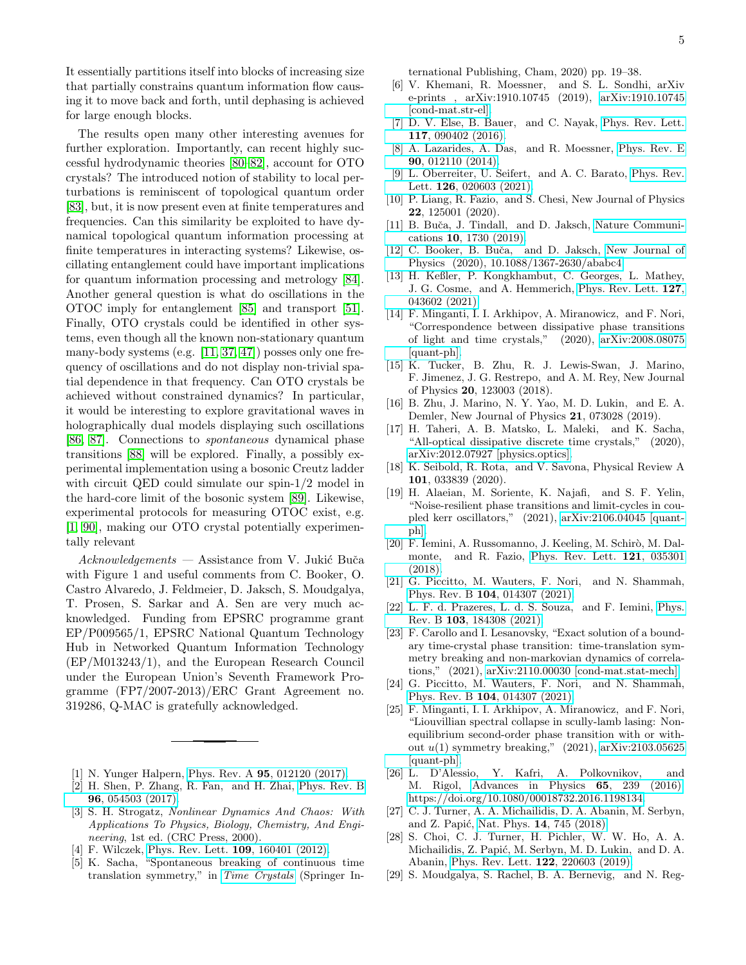It essentially partitions itself into blocks of increasing size that partially constrains quantum information flow causing it to move back and forth, until dephasing is achieved for large enough blocks.

The results open many other interesting avenues for further exploration. Importantly, can recent highly successful hydrodynamic theories [\[80–](#page-6-1)[82\]](#page-6-2), account for OTO crystals? The introduced notion of stability to local perturbations is reminiscent of topological quantum order [\[83\]](#page-6-3), but, it is now present even at finite temperatures and frequencies. Can this similarity be exploited to have dynamical topological quantum information processing at finite temperatures in interacting systems? Likewise, oscillating entanglement could have important implications for quantum information processing and metrology [\[84\]](#page-6-4). Another general question is what do oscillations in the OTOC imply for entanglement [\[85\]](#page-6-5) and transport [\[51\]](#page-5-12). Finally, OTO crystals could be identified in other systems, even though all the known non-stationary quantum many-body systems (e.g. [\[11,](#page-4-7) [37,](#page-5-3) [47\]](#page-5-9)) posses only one frequency of oscillations and do not display non-trivial spatial dependence in that frequency. Can OTO crystals be achieved without constrained dynamics? In particular, it would be interesting to explore gravitational waves in holographically dual models displaying such oscillations [\[86,](#page-6-6) [87\]](#page-6-7). Connections to spontaneous dynamical phase transitions [\[88\]](#page-6-8) will be explored. Finally, a possibly experimental implementation using a bosonic Creutz ladder with circuit QED could simulate our spin-1/2 model in the hard-core limit of the bosonic system [\[89\]](#page-6-9). Likewise, experimental protocols for measuring OTOC exist, e.g. [\[1,](#page-4-0) [90\]](#page-6-10), making our OTO crystal potentially experimentally relevant

 $Acknowledgements$  — Assistance from V. Jukić Buča with Figure 1 and useful comments from C. Booker, O. Castro Alvaredo, J. Feldmeier, D. Jaksch, S. Moudgalya, T. Prosen, S. Sarkar and A. Sen are very much acknowledged. Funding from EPSRC programme grant EP/P009565/1, EPSRC National Quantum Technology Hub in Networked Quantum Information Technology (EP/M013243/1), and the European Research Council under the European Union's Seventh Framework Programme (FP7/2007-2013)/ERC Grant Agreement no. 319286, Q-MAC is gratefully acknowledged.

- <span id="page-4-0"></span>[1] N. Yunger Halpern, Phys. Rev. A 95[, 012120 \(2017\).](http://dx.doi.org/10.1103/PhysRevA.95.012120)
- <span id="page-4-1"></span>[2] H. Shen, P. Zhang, R. Fan, and H. Zhai, [Phys. Rev. B](http://dx.doi.org/ 10.1103/PhysRevB.96.054503) 96[, 054503 \(2017\).](http://dx.doi.org/ 10.1103/PhysRevB.96.054503)
- <span id="page-4-2"></span>[3] S. H. Strogatz, Nonlinear Dynamics And Chaos: With Applications To Physics, Biology, Chemistry, And Engineering, 1st ed. (CRC Press, 2000).
- <span id="page-4-3"></span>[4] F. Wilczek, [Phys. Rev. Lett.](http://dx.doi.org/10.1103/PhysRevLett.109.160401) **109**, 160401 (2012).
- [5] K. Sacha, "Spontaneous breaking of continuous time translation symmetry," in [Time Crystals](http://dx.doi.org/ 10.1007/978-3-030-52523-1_3) (Springer In-

ternational Publishing, Cham, 2020) pp. 19–38.

- <span id="page-4-4"></span>[6] V. Khemani, R. Moessner, and S. L. Sondhi, arXiv e-prints , arXiv:1910.10745 (2019), [arXiv:1910.10745](http://arxiv.org/abs/1910.10745) [\[cond-mat.str-el\].](http://arxiv.org/abs/1910.10745)
- <span id="page-4-5"></span>[7] D. V. Else, B. Bauer, and C. Nayak, [Phys. Rev. Lett.](http://dx.doi.org/10.1103/PhysRevLett.117.090402) 117[, 090402 \(2016\).](http://dx.doi.org/10.1103/PhysRevLett.117.090402)
- <span id="page-4-14"></span>[8] A. Lazarides, A. Das, and R. Moessner, [Phys. Rev. E](http://dx.doi.org/10.1103/PhysRevE.90.012110) 90[, 012110 \(2014\).](http://dx.doi.org/10.1103/PhysRevE.90.012110)
- [9] L. Oberreiter, U. Seifert, and A. C. Barato, [Phys. Rev.](http://dx.doi.org/10.1103/PhysRevLett.126.020603) Lett. 126[, 020603 \(2021\).](http://dx.doi.org/10.1103/PhysRevLett.126.020603)
- <span id="page-4-6"></span>[10] P. Liang, R. Fazio, and S. Chesi, New Journal of Physics 22, 125001 (2020).
- <span id="page-4-7"></span>[11] B. Buča, J. Tindall, and D. Jaksch, [Nature Communi](http://dx.doi.org/10.1038/s41467-019-09757-y)cations 10[, 1730 \(2019\).](http://dx.doi.org/10.1038/s41467-019-09757-y)
- <span id="page-4-13"></span>[12] C. Booker, B. Buča, and D. Jaksch, [New Journal of](http://dx.doi.org/10.1088/1367-2630/ababc4) [Physics \(2020\), 10.1088/1367-2630/ababc4.](http://dx.doi.org/10.1088/1367-2630/ababc4)
- [13] H. Keßler, P. Kongkhambut, C. Georges, L. Mathey, J. G. Cosme, and A. Hemmerich, [Phys. Rev. Lett.](http://dx.doi.org/10.1103/PhysRevLett.127.043602) 127, [043602 \(2021\).](http://dx.doi.org/10.1103/PhysRevLett.127.043602)
- [14] F. Minganti, I. I. Arkhipov, A. Miranowicz, and F. Nori, "Correspondence between dissipative phase transitions of light and time crystals," (2020), [arXiv:2008.08075](http://arxiv.org/abs/2008.08075) [\[quant-ph\].](http://arxiv.org/abs/2008.08075)
- [15] K. Tucker, B. Zhu, R. J. Lewis-Swan, J. Marino, F. Jimenez, J. G. Restrepo, and A. M. Rey, New Journal of Physics 20, 123003 (2018).
- [16] B. Zhu, J. Marino, N. Y. Yao, M. D. Lukin, and E. A. Demler, New Journal of Physics 21, 073028 (2019).
- [17] H. Taheri, A. B. Matsko, L. Maleki, and K. Sacha, "All-optical dissipative discrete time crystals," (2020), [arXiv:2012.07927 \[physics.optics\].](http://arxiv.org/abs/2012.07927)
- [18] K. Seibold, R. Rota, and V. Savona, Physical Review A 101, 033839 (2020).
- <span id="page-4-8"></span>[19] H. Alaeian, M. Soriente, K. Najafi, and S. F. Yelin, "Noise-resilient phase transitions and limit-cycles in coupled kerr oscillators," (2021), [arXiv:2106.04045 \[quant](http://arxiv.org/abs/2106.04045)[ph\].](http://arxiv.org/abs/2106.04045)
- <span id="page-4-9"></span>[20] F. Iemini, A. Russomanno, J. Keeling, M. Schirò, M. Dal-monte, and R. Fazio, [Phys. Rev. Lett.](http://dx.doi.org/ 10.1103/PhysRevLett.121.035301) **121**, 035301 [\(2018\).](http://dx.doi.org/ 10.1103/PhysRevLett.121.035301)
- [21] G. Piccitto, M. Wauters, F. Nori, and N. Shammah, Phys. Rev. B 104[, 014307 \(2021\).](http://dx.doi.org/ 10.1103/PhysRevB.104.014307)
- [22] L. F. d. Prazeres, L. d. S. Souza, and F. Iemini, [Phys.](http://dx.doi.org/10.1103/PhysRevB.103.184308) Rev. B 103[, 184308 \(2021\).](http://dx.doi.org/10.1103/PhysRevB.103.184308)
- [23] F. Carollo and I. Lesanovsky, "Exact solution of a boundary time-crystal phase transition: time-translation symmetry breaking and non-markovian dynamics of correlations," (2021), [arXiv:2110.00030 \[cond-mat.stat-mech\].](http://arxiv.org/abs/2110.00030)
- [24] G. Piccitto, M. Wauters, F. Nori, and N. Shammah, Phys. Rev. B 104[, 014307 \(2021\).](http://dx.doi.org/ 10.1103/PhysRevB.104.014307)
- <span id="page-4-10"></span>[25] F. Minganti, I. I. Arkhipov, A. Miranowicz, and F. Nori, "Liouvillian spectral collapse in scully-lamb lasing: Nonequilibrium second-order phase transition with or without  $u(1)$  symmetry breaking,"  $(2021)$ , [arXiv:2103.05625](http://arxiv.org/abs/2103.05625) [\[quant-ph\].](http://arxiv.org/abs/2103.05625)
- <span id="page-4-11"></span>[26] L. D'Alessio, Y. Kafri, A. Polkovnikov, and M. Rigol, [Advances in Physics](http://dx.doi.org/10.1080/00018732.2016.1198134) 65, 239 (2016), [https://doi.org/10.1080/00018732.2016.1198134.](http://arxiv.org/abs/https://doi.org/10.1080/00018732.2016.1198134)
- <span id="page-4-12"></span>[27] C. J. Turner, A. A. Michailidis, D. A. Abanin, M. Serbyn, and Z. Papić, Nat. Phys. 14[, 745 \(2018\).](http://dx.doi.org/10.1038/s41567-018-0137-5)
- [28] S. Choi, C. J. Turner, H. Pichler, W. W. Ho, A. A. Michailidis, Z. Papić, M. Serbyn, M. D. Lukin, and D. A. Abanin, [Phys. Rev. Lett.](http://dx.doi.org/ 10.1103/PhysRevLett.122.220603) 122, 220603 (2019).
- [29] S. Moudgalya, S. Rachel, B. A. Bernevig, and N. Reg-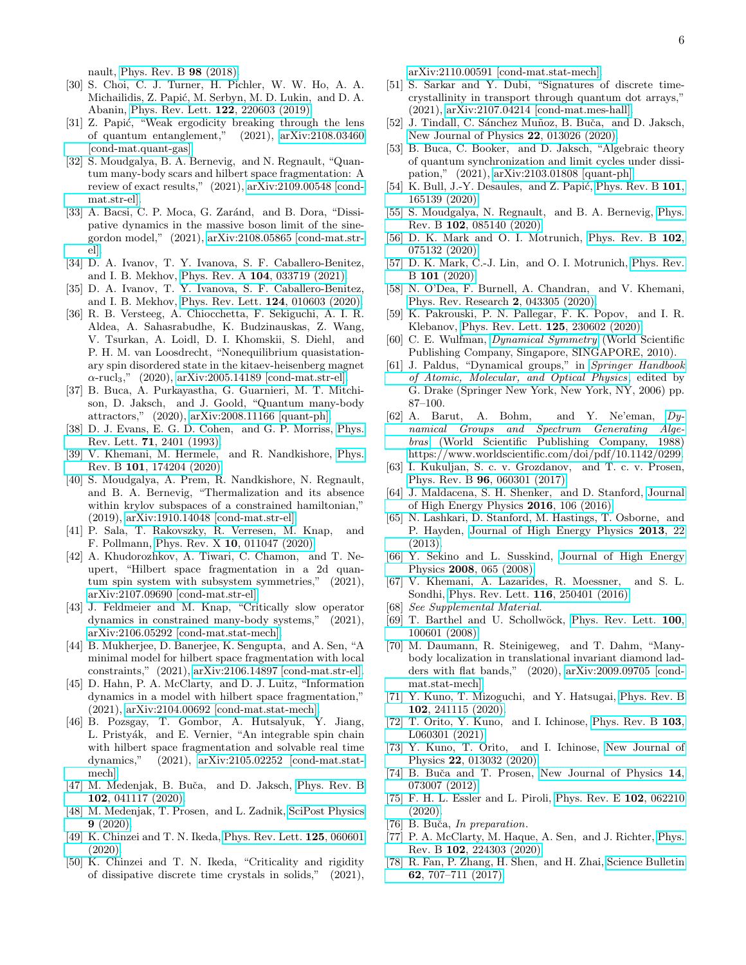nault, [Phys. Rev. B](http://dx.doi.org/10.1103/PhysRevB.98.235155) 98 (2018).

- [30] S. Choi, C. J. Turner, H. Pichler, W. W. Ho, A. A. Michailidis, Z. Papić, M. Serbyn, M. D. Lukin, and D. A. Abanin, [Phys. Rev. Lett.](http://dx.doi.org/ 10.1103/PhysRevLett.122.220603) 122, 220603 (2019).
- [31] Z. Papić, "Weak ergodicity breaking through the lens of quantum entanglement," (2021), [arXiv:2108.03460](http://arxiv.org/abs/2108.03460) [\[cond-mat.quant-gas\].](http://arxiv.org/abs/2108.03460)
- <span id="page-5-0"></span>[32] S. Moudgalya, B. A. Bernevig, and N. Regnault, "Quantum many-body scars and hilbert space fragmentation: A review of exact results," (2021), [arXiv:2109.00548 \[cond](http://arxiv.org/abs/2109.00548)[mat.str-el\].](http://arxiv.org/abs/2109.00548)
- <span id="page-5-1"></span>[33] A. Bacsi, C. P. Moca, G. Zaránd, and B. Dora, "Dissipative dynamics in the massive boson limit of the sinegordon model," (2021), [arXiv:2108.05865 \[cond-mat.str](http://arxiv.org/abs/2108.05865)[el\].](http://arxiv.org/abs/2108.05865)
- [34] D. A. Ivanov, T. Y. Ivanova, S. F. Caballero-Benitez, and I. B. Mekhov, Phys. Rev. A 104[, 033719 \(2021\).](http://dx.doi.org/10.1103/PhysRevA.104.033719)
- [35] D. A. Ivanov, T. Y. Ivanova, S. F. Caballero-Benitez, and I. B. Mekhov, [Phys. Rev. Lett.](http://dx.doi.org/10.1103/PhysRevLett.124.010603) 124, 010603 (2020).
- <span id="page-5-2"></span>[36] R. B. Versteeg, A. Chiocchetta, F. Sekiguchi, A. I. R. Aldea, A. Sahasrabudhe, K. Budzinauskas, Z. Wang, V. Tsurkan, A. Loidl, D. I. Khomskii, S. Diehl, and P. H. M. van Loosdrecht, "Nonequilibrium quasistationary spin disordered state in the kitaev-heisenberg magnet  $\alpha$ -rucl<sub>3</sub>," (2020), [arXiv:2005.14189 \[cond-mat.str-el\].](http://arxiv.org/abs/2005.14189)
- <span id="page-5-3"></span>[37] B. Buca, A. Purkayastha, G. Guarnieri, M. T. Mitchison, D. Jaksch, and J. Goold, "Quantum many-body attractors," (2020), [arXiv:2008.11166 \[quant-ph\].](http://arxiv.org/abs/2008.11166)
- <span id="page-5-4"></span>[38] D. J. Evans, E. G. D. Cohen, and G. P. Morriss, [Phys.](http://dx.doi.org/10.1103/PhysRevLett.71.2401) Rev. Lett. 71[, 2401 \(1993\).](http://dx.doi.org/10.1103/PhysRevLett.71.2401)
- <span id="page-5-5"></span>[39] V. Khemani, M. Hermele, and R. Nandkishore, [Phys.](http://dx.doi.org/10.1103/PhysRevB.101.174204) Rev. B 101[, 174204 \(2020\).](http://dx.doi.org/10.1103/PhysRevB.101.174204)
- [40] S. Moudgalya, A. Prem, R. Nandkishore, N. Regnault, and B. A. Bernevig, "Thermalization and its absence within krylov subspaces of a constrained hamiltonian." (2019), [arXiv:1910.14048 \[cond-mat.str-el\].](http://arxiv.org/abs/1910.14048)
- <span id="page-5-25"></span>[41] P. Sala, T. Rakovszky, R. Verresen, M. Knap, and F. Pollmann, Phys. Rev. X 10[, 011047 \(2020\).](http://dx.doi.org/ 10.1103/PhysRevX.10.011047)
- [42] A. Khudorozhkov, A. Tiwari, C. Chamon, and T. Neupert, "Hilbert space fragmentation in a 2d quantum spin system with subsystem symmetries," (2021), [arXiv:2107.09690 \[cond-mat.str-el\].](http://arxiv.org/abs/2107.09690)
- <span id="page-5-34"></span>[43] J. Feldmeier and M. Knap, "Critically slow operator dynamics in constrained many-body systems," (2021), [arXiv:2106.05292 \[cond-mat.stat-mech\].](http://arxiv.org/abs/2106.05292)
- <span id="page-5-6"></span>[44] B. Mukherjee, D. Banerjee, K. Sengupta, and A. Sen, "A minimal model for hilbert space fragmentation with local constraints," (2021), [arXiv:2106.14897 \[cond-mat.str-el\].](http://arxiv.org/abs/2106.14897)
- <span id="page-5-7"></span>[45] D. Hahn, P. A. McClarty, and D. J. Luitz, "Information dynamics in a model with hilbert space fragmentation," (2021), [arXiv:2104.00692 \[cond-mat.stat-mech\].](http://arxiv.org/abs/2104.00692)
- <span id="page-5-8"></span>[46] B. Pozsgay, T. Gombor, A. Hutsalyuk, Y. Jiang, L. Pristyák, and E. Vernier, "An integrable spin chain with hilbert space fragmentation and solvable real time dynamics," (2021), [arXiv:2105.02252 \[cond-mat.stat](http://arxiv.org/abs/2105.02252)[mech\].](http://arxiv.org/abs/2105.02252)
- <span id="page-5-9"></span>[47] M. Medenjak, B. Buča, and D. Jaksch, [Phys. Rev. B](http://dx.doi.org/ 10.1103/PhysRevB.102.041117) 102[, 041117 \(2020\).](http://dx.doi.org/ 10.1103/PhysRevB.102.041117)
- <span id="page-5-10"></span>[48] M. Medenjak, T. Prosen, and L. Zadnik, [SciPost Physics](http://dx.doi.org/10.21468/SciPostPhys.9.1.003) 9 [\(2020\).](http://dx.doi.org/10.21468/SciPostPhys.9.1.003)
- [49] K. Chinzei and T. N. Ikeda, [Phys. Rev. Lett.](http://dx.doi.org/10.1103/PhysRevLett.125.060601) **125**, 060601 [\(2020\).](http://dx.doi.org/10.1103/PhysRevLett.125.060601)
- <span id="page-5-11"></span>[50] K. Chinzei and T. N. Ikeda, "Criticality and rigidity of dissipative discrete time crystals in solids," (2021),

[arXiv:2110.00591 \[cond-mat.stat-mech\].](http://arxiv.org/abs/2110.00591)

- <span id="page-5-12"></span>[51] S. Sarkar and Y. Dubi, "Signatures of discrete timecrystallinity in transport through quantum dot arrays," (2021), [arXiv:2107.04214 \[cond-mat.mes-hall\].](http://arxiv.org/abs/2107.04214)
- <span id="page-5-13"></span>[52] J. Tindall, C. Sánchez Muñoz, B. Buča, and D. Jaksch, [New Journal of Physics](http://dx.doi.org/10.1088/1367-2630/ab60f5) 22, 013026 (2020).
- <span id="page-5-14"></span>[53] B. Buca, C. Booker, and D. Jaksch, "Algebraic theory of quantum synchronization and limit cycles under dissipation," (2021), [arXiv:2103.01808 \[quant-ph\].](http://arxiv.org/abs/2103.01808)
- <span id="page-5-15"></span>[54] K. Bull, J.-Y. Desaules, and Z. Papić, [Phys. Rev. B](http://dx.doi.org/ 10.1103/PhysRevB.101.165139) 101, [165139 \(2020\).](http://dx.doi.org/ 10.1103/PhysRevB.101.165139)
- [55] S. Moudgalya, N. Regnault, and B. A. Bernevig, [Phys.](http://dx.doi.org/10.1103/PhysRevB.102.085140) Rev. B 102[, 085140 \(2020\).](http://dx.doi.org/10.1103/PhysRevB.102.085140)
- [56] D. K. Mark and O. I. Motrunich, [Phys. Rev. B](http://dx.doi.org/10.1103/PhysRevB.102.075132) 102, [075132 \(2020\).](http://dx.doi.org/10.1103/PhysRevB.102.075132)
- [57] D. K. Mark, C.-J. Lin, and O. I. Motrunich, [Phys. Rev.](http://dx.doi.org/10.1103/PhysRevB.101.195131) B 101 [\(2020\).](http://dx.doi.org/10.1103/PhysRevB.101.195131)
- [58] N. O'Dea, F. Burnell, A. Chandran, and V. Khemani, [Phys. Rev. Research](http://dx.doi.org/10.1103/PhysRevResearch.2.043305) 2, 043305 (2020).
- <span id="page-5-16"></span>[59] K. Pakrouski, P. N. Pallegar, F. K. Popov, and I. R. Klebanov, [Phys. Rev. Lett.](http://dx.doi.org/10.1103/PhysRevLett.125.230602) 125, 230602 (2020).
- <span id="page-5-17"></span>[60] C. E. Wulfman, [Dynamical Symmetry](http://ebookcentral.proquest.com/lib/oxford/detail.action?docID=731366) (World Scientific Publishing Company, Singapore, SINGAPORE, 2010).
- <span id="page-5-18"></span>[61] J. Paldus, "Dynamical groups," in [Springer Handbook](http://dx.doi.org/10.1007/978-0-387-26308-3_4) [of Atomic, Molecular, and Optical Physics](http://dx.doi.org/10.1007/978-0-387-26308-3_4), edited by G. Drake (Springer New York, New York, NY, 2006) pp. 87–100.
- <span id="page-5-19"></span>[62] A. Barut, A. Bohm, and Y. Ne'eman, [Dy](http://dx.doi.org/10.1142/0299)[namical Groups and Spectrum Generating Alge](http://dx.doi.org/10.1142/0299)[bras](http://dx.doi.org/10.1142/0299) (World Scientific Publishing Company, 1988) [https://www.worldscientific.com/doi/pdf/10.1142/0299.](http://arxiv.org/abs/https://www.worldscientific.com/doi/pdf/10.1142/0299)
- <span id="page-5-20"></span>[63] I. Kukuljan, S. c. v. Grozdanov, and T. c. v. Prosen, Phys. Rev. B 96[, 060301 \(2017\).](http://dx.doi.org/10.1103/PhysRevB.96.060301)
- <span id="page-5-21"></span>[64] J. Maldacena, S. H. Shenker, and D. Stanford, [Journal](http://dx.doi.org/10.1007/JHEP08(2016)106) [of High Energy Physics](http://dx.doi.org/10.1007/JHEP08(2016)106) 2016, 106 (2016).
- [65] N. Lashkari, D. Stanford, M. Hastings, T. Osborne, and P. Hayden, [Journal of High Energy Physics](http://dx.doi.org/ 10.1007/JHEP04(2013)022) 2013, 22 [\(2013\).](http://dx.doi.org/ 10.1007/JHEP04(2013)022)
- <span id="page-5-22"></span>[66] Y. Sekino and L. Susskind, [Journal of High Energy](http://dx.doi.org/10.1088/1126-6708/2008/10/065) Physics 2008[, 065 \(2008\).](http://dx.doi.org/10.1088/1126-6708/2008/10/065)
- <span id="page-5-23"></span>[67] V. Khemani, A. Lazarides, R. Moessner, and S. L. Sondhi, [Phys. Rev. Lett.](http://dx.doi.org/10.1103/PhysRevLett.116.250401) 116, 250401 (2016).
- <span id="page-5-24"></span>[68] See Supplemental Material.
- <span id="page-5-26"></span>[69] T. Barthel and U. Schollwöck, [Phys. Rev. Lett.](http://dx.doi.org/10.1103/PhysRevLett.100.100601) 100, [100601 \(2008\).](http://dx.doi.org/10.1103/PhysRevLett.100.100601)
- <span id="page-5-27"></span>[70] M. Daumann, R. Steinigeweg, and T. Dahm, "Manybody localization in translational invariant diamond ladders with flat bands," (2020), [arXiv:2009.09705 \[cond](http://arxiv.org/abs/2009.09705)[mat.stat-mech\].](http://arxiv.org/abs/2009.09705)
- [71] Y. Kuno, T. Mizoguchi, and Y. Hatsugai, [Phys. Rev. B](http://dx.doi.org/10.1103/PhysRevB.102.241115) 102[, 241115 \(2020\).](http://dx.doi.org/10.1103/PhysRevB.102.241115)
- [72] T. Orito, Y. Kuno, and I. Ichinose, [Phys. Rev. B](http://dx.doi.org/10.1103/PhysRevB.103.L060301) 103, [L060301 \(2021\).](http://dx.doi.org/10.1103/PhysRevB.103.L060301)
- <span id="page-5-28"></span>[73] Y. Kuno, T. Orito, and I. Ichinose, [New Journal of](http://dx.doi.org/10.1088/1367-2630/ab6352) Physics 22[, 013032 \(2020\).](http://dx.doi.org/10.1088/1367-2630/ab6352)
- <span id="page-5-29"></span>[74] B. Buča and T. Prosen, [New Journal of Physics](http://dx.doi.org/10.1088/1367-2630/14/7/073007) 14, [073007 \(2012\).](http://dx.doi.org/10.1088/1367-2630/14/7/073007)
- <span id="page-5-30"></span>[75] F. H. L. Essler and L. Piroli, [Phys. Rev. E](http://dx.doi.org/10.1103/PhysRevE.102.062210) 102, 062210 [\(2020\).](http://dx.doi.org/10.1103/PhysRevE.102.062210)
- <span id="page-5-31"></span>[76] B. Buča, In preparation.
- <span id="page-5-32"></span>[77] P. A. McClarty, M. Haque, A. Sen, and J. Richter, [Phys.](http://dx.doi.org/ 10.1103/PhysRevB.102.224303) Rev. B 102[, 224303 \(2020\).](http://dx.doi.org/ 10.1103/PhysRevB.102.224303)
- <span id="page-5-33"></span>[78] R. Fan, P. Zhang, H. Shen, and H. Zhai, [Science Bulletin](http://dx.doi.org/ 10.1016/j.scib.2017.04.011) 62[, 707–711 \(2017\).](http://dx.doi.org/ 10.1016/j.scib.2017.04.011)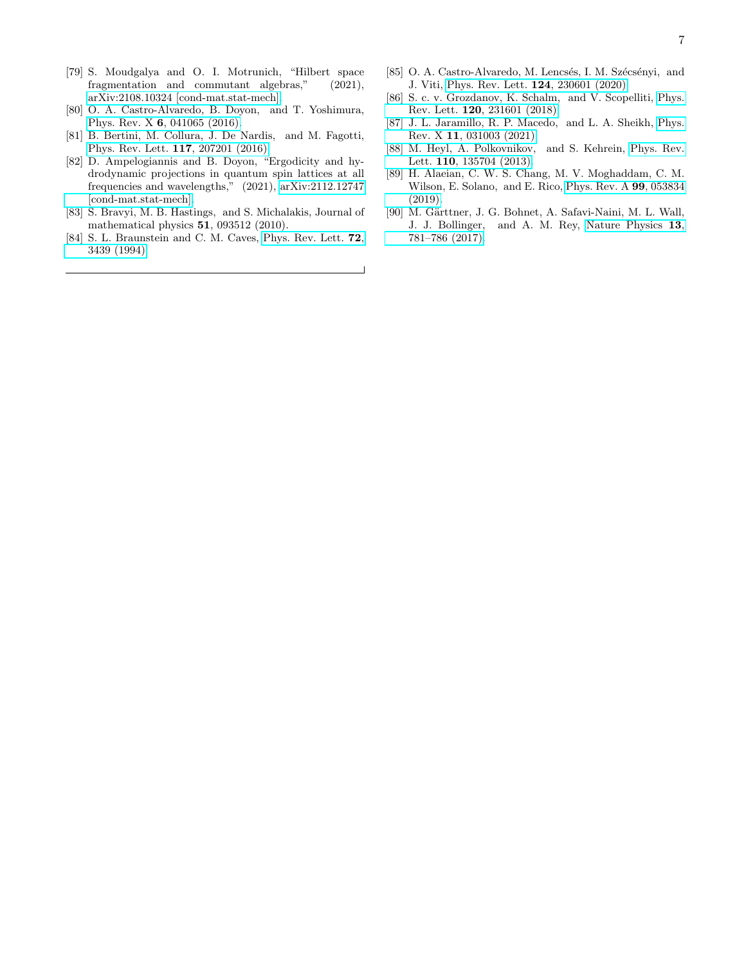- <span id="page-6-0"></span>[79] S. Moudgalya and O. I. Motrunich, "Hilbert space fragmentation and commutant algebras," (2021), [arXiv:2108.10324 \[cond-mat.stat-mech\].](http://arxiv.org/abs/2108.10324)
- <span id="page-6-1"></span>[80] O. A. Castro-Alvaredo, B. Doyon, and T. Yoshimura, Phys. Rev. X 6[, 041065 \(2016\).](http://dx.doi.org/10.1103/PhysRevX.6.041065)
- [81] B. Bertini, M. Collura, J. De Nardis, and M. Fagotti, [Phys. Rev. Lett.](http://dx.doi.org/10.1103/PhysRevLett.117.207201) 117, 207201 (2016).
- <span id="page-6-2"></span>[82] D. Ampelogiannis and B. Doyon, "Ergodicity and hydrodynamic projections in quantum spin lattices at all frequencies and wavelengths," (2021), [arXiv:2112.12747](http://arxiv.org/abs/2112.12747) [\[cond-mat.stat-mech\].](http://arxiv.org/abs/2112.12747)
- <span id="page-6-3"></span>[83] S. Bravyi, M. B. Hastings, and S. Michalakis, Journal of mathematical physics 51, 093512 (2010).
- <span id="page-6-4"></span>[84] S. L. Braunstein and C. M. Caves, [Phys. Rev. Lett.](http://dx.doi.org/10.1103/PhysRevLett.72.3439) **72**, [3439 \(1994\).](http://dx.doi.org/10.1103/PhysRevLett.72.3439)
- <span id="page-6-5"></span>[85] O. A. Castro-Alvaredo, M. Lencsés, I. M. Szécsényi, and J. Viti, [Phys. Rev. Lett.](http://dx.doi.org/10.1103/PhysRevLett.124.230601) 124, 230601 (2020).
- <span id="page-6-6"></span>[86] S. c. v. Grozdanov, K. Schalm, and V. Scopelliti, [Phys.](http://dx.doi.org/10.1103/PhysRevLett.120.231601) Rev. Lett. 120[, 231601 \(2018\).](http://dx.doi.org/10.1103/PhysRevLett.120.231601)
- <span id="page-6-7"></span>[87] J. L. Jaramillo, R. P. Macedo, and L. A. Sheikh, [Phys.](http://dx.doi.org/10.1103/PhysRevX.11.031003) Rev. X 11[, 031003 \(2021\).](http://dx.doi.org/10.1103/PhysRevX.11.031003)
- <span id="page-6-8"></span>[88] M. Heyl, A. Polkovnikov, and S. Kehrein, [Phys. Rev.](http://dx.doi.org/10.1103/PhysRevLett.110.135704) Lett. 110[, 135704 \(2013\).](http://dx.doi.org/10.1103/PhysRevLett.110.135704)
- <span id="page-6-9"></span>[89] H. Alaeian, C. W. S. Chang, M. V. Moghaddam, C. M. Wilson, E. Solano, and E. Rico, [Phys. Rev. A](http://dx.doi.org/10.1103/PhysRevA.99.053834) 99, 053834 [\(2019\).](http://dx.doi.org/10.1103/PhysRevA.99.053834)
- <span id="page-6-10"></span>[90] M. Gärttner, J. G. Bohnet, A. Safavi-Naini, M. L. Wall, J. J. Bollinger, and A. M. Rey, [Nature Physics](http://dx.doi.org/10.1038/nphys4119) 13, [781–786 \(2017\).](http://dx.doi.org/10.1038/nphys4119)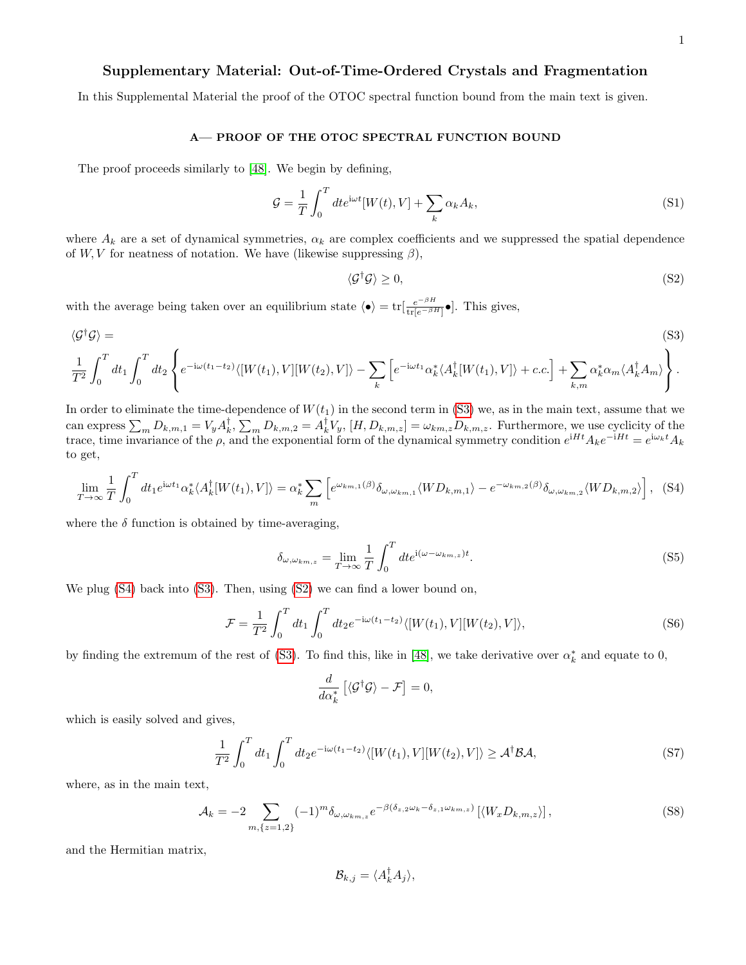## Supplementary Material: Out-of-Time-Ordered Crystals and Fragmentation

In this Supplemental Material the proof of the OTOC spectral function bound from the main text is given.

## A— PROOF OF THE OTOC SPECTRAL FUNCTION BOUND

The proof proceeds similarly to [\[48\]](#page-5-10). We begin by defining,

$$
\mathcal{G} = \frac{1}{T} \int_0^T dt e^{i\omega t} [W(t), V] + \sum_k \alpha_k A_k,
$$
\n(S1)

where  $A_k$  are a set of dynamical symmetries,  $\alpha_k$  are complex coefficients and we suppressed the spatial dependence of W, V for neatness of notation. We have (likewise suppressing  $\beta$ ),

$$
\langle \mathcal{G}^{\dagger} \mathcal{G} \rangle \ge 0,\tag{S2}
$$

with the average being taken over an equilibrium state  $\langle \bullet \rangle = \text{tr}[\frac{e^{-\beta H}}{\text{tr}(e^{-\beta H})}]$  $\frac{e^{-\beta H}}{\text{tr}[e^{-\beta H}]}$ •]. This gives,

$$
\langle \mathcal{G}^{\dagger} \mathcal{G} \rangle =
$$
\n
$$
\frac{1}{T^{2}} \int_{0}^{T} dt_{1} \int_{0}^{T} dt_{2} \left\{ e^{-i\omega(t_{1}-t_{2})} \langle [W(t_{1}), V] | W(t_{2}), V] \rangle - \sum_{k} \left[ e^{-i\omega t_{1}} \alpha_{k}^{*} \langle A_{k}^{\dagger} [W(t_{1}), V] \rangle + c.c. \right] + \sum_{k,m} \alpha_{k}^{*} \alpha_{m} \langle A_{k}^{\dagger} A_{m} \rangle \right\}.
$$
\n(S3)

In order to eliminate the time-dependence of  $W(t_1)$  in the second term in [\(S3\)](#page-2-1) we, as in the main text, assume that we can express  $\sum_{m} D_{k,m,1} = V_{y} A_{k}^{\dagger}, \sum_{m} D_{k,m,2} = A_{k}^{\dagger} V_{y}, [H, D_{k,m,z}] = \omega_{km,z} D_{k,m,z}$ . Furthermore, we use cyclicity of the trace, time invariance of the  $\rho$ , and the exponential form of the dynamical symmetry condition  $e^{iHt} A_k e^{-iHt} = e^{i\omega_k t} A_k$ to get,

$$
\lim_{T \to \infty} \frac{1}{T} \int_0^T dt_1 e^{i\omega t_1} \alpha_k^* \langle A_k^{\dagger} [W(t_1), V] \rangle = \alpha_k^* \sum_m \left[ e^{\omega_{km,1}(\beta)} \delta_{\omega, \omega_{km,1}} \langle W D_{k,m,1} \rangle - e^{-\omega_{km,2}(\beta)} \delta_{\omega, \omega_{km,2}} \langle W D_{k,m,2} \rangle \right], \quad (S4)
$$

where the  $\delta$  function is obtained by time-averaging,

$$
\delta_{\omega,\omega_{km,z}} = \lim_{T \to \infty} \frac{1}{T} \int_0^T dt e^{i(\omega - \omega_{km,z})t}.
$$
\n(S5)

We plug [\(S4\)](#page-3-0) back into [\(S3\)](#page-2-1). Then, using [\(S2\)](#page-1-1) we can find a lower bound on,

$$
\mathcal{F} = \frac{1}{T^2} \int_0^T dt_1 \int_0^T dt_2 e^{-i\omega(t_1 - t_2)} \langle [W(t_1), V][W(t_2), V] \rangle, \tag{S6}
$$

by finding the extremum of the rest of [\(S3\)](#page-2-1). To find this, like in [\[48\]](#page-5-10), we take derivative over  $\alpha_k^*$  and equate to 0,

$$
\frac{d}{d\alpha_k^*} \left[ \langle \mathcal{G}^\dagger \mathcal{G} \rangle - \mathcal{F} \right] = 0,
$$

which is easily solved and gives,

$$
\frac{1}{T^2} \int_0^T dt_1 \int_0^T dt_2 e^{-i\omega(t_1 - t_2)} \langle [W(t_1), V][W(t_2), V] \rangle \ge \mathcal{A}^\dagger \mathcal{B} \mathcal{A},\tag{S7}
$$

where, as in the main text,

$$
\mathcal{A}_k = -2 \sum_{m,\{z=1,2\}} (-1)^m \delta_{\omega,\omega_{km,z}} e^{-\beta(\delta_{z,2}\omega_k - \delta_{z,1}\omega_{km,z})} \left[ \langle W_x D_{k,m,z} \rangle \right],\tag{S8}
$$

and the Hermitian matrix,

$$
\mathcal{B}_{k,j} = \langle A_k^{\dagger} A_j \rangle,
$$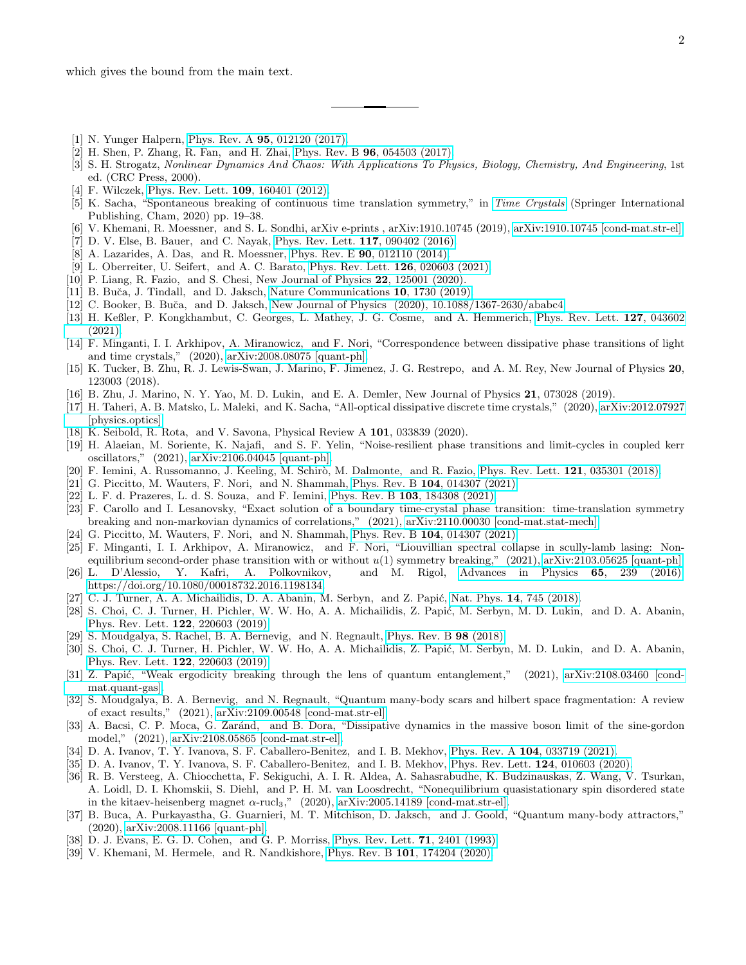which gives the bound from the main text.

- [1] N. Yunger Halpern, Phys. Rev. A **95**[, 012120 \(2017\).](http://dx.doi.org/10.1103/PhysRevA.95.012120)
- [2] H. Shen, P. Zhang, R. Fan, and H. Zhai, Phys. Rev. B 96[, 054503 \(2017\).](http://dx.doi.org/ 10.1103/PhysRevB.96.054503)
- [3] S. H. Strogatz, Nonlinear Dynamics And Chaos: With Applications To Physics, Biology, Chemistry, And Engineering, 1st ed. (CRC Press, 2000).
- [4] F. Wilczek, [Phys. Rev. Lett.](http://dx.doi.org/10.1103/PhysRevLett.109.160401) **109**, 160401 (2012).
- [5] K. Sacha, "Spontaneous breaking of continuous time translation symmetry," in [Time Crystals](http://dx.doi.org/ 10.1007/978-3-030-52523-1_3) (Springer International Publishing, Cham, 2020) pp. 19–38.
- [6] V. Khemani, R. Moessner, and S. L. Sondhi, arXiv e-prints , arXiv:1910.10745 (2019), [arXiv:1910.10745 \[cond-mat.str-el\].](http://arxiv.org/abs/1910.10745)
- [7] D. V. Else, B. Bauer, and C. Nayak, [Phys. Rev. Lett.](http://dx.doi.org/10.1103/PhysRevLett.117.090402) 117, 090402 (2016).
- [8] A. Lazarides, A. Das, and R. Moessner, Phys. Rev. E 90[, 012110 \(2014\).](http://dx.doi.org/10.1103/PhysRevE.90.012110)
- [9] L. Oberreiter, U. Seifert, and A. C. Barato, [Phys. Rev. Lett.](http://dx.doi.org/10.1103/PhysRevLett.126.020603) 126, 020603 (2021).
- [10] P. Liang, R. Fazio, and S. Chesi, New Journal of Physics 22, 125001 (2020).
- [11] B. Buča, J. Tindall, and D. Jaksch, [Nature Communications](http://dx.doi.org/10.1038/s41467-019-09757-y)  $10$ , 1730 (2019).
- [12] C. Booker, B. Buˇca, and D. Jaksch, [New Journal of Physics \(2020\), 10.1088/1367-2630/ababc4.](http://dx.doi.org/10.1088/1367-2630/ababc4)
- [13] H. Keßler, P. Kongkhambut, C. Georges, L. Mathey, J. G. Cosme, and A. Hemmerich, [Phys. Rev. Lett.](http://dx.doi.org/10.1103/PhysRevLett.127.043602) 127, 043602 [\(2021\).](http://dx.doi.org/10.1103/PhysRevLett.127.043602)
- [14] F. Minganti, I. I. Arkhipov, A. Miranowicz, and F. Nori, "Correspondence between dissipative phase transitions of light and time crystals," (2020), [arXiv:2008.08075 \[quant-ph\].](http://arxiv.org/abs/2008.08075)
- [15] K. Tucker, B. Zhu, R. J. Lewis-Swan, J. Marino, F. Jimenez, J. G. Restrepo, and A. M. Rey, New Journal of Physics 20, 123003 (2018).
- [16] B. Zhu, J. Marino, N. Y. Yao, M. D. Lukin, and E. A. Demler, New Journal of Physics 21, 073028 (2019).
- [17] H. Taheri, A. B. Matsko, L. Maleki, and K. Sacha, "All-optical dissipative discrete time crystals," (2020), [arXiv:2012.07927](http://arxiv.org/abs/2012.07927) [\[physics.optics\].](http://arxiv.org/abs/2012.07927)
- [18] K. Seibold, R. Rota, and V. Savona, Physical Review A 101, 033839 (2020).
- [19] H. Alaeian, M. Soriente, K. Najafi, and S. F. Yelin, "Noise-resilient phase transitions and limit-cycles in coupled kerr oscillators," (2021), [arXiv:2106.04045 \[quant-ph\].](http://arxiv.org/abs/2106.04045)
- [20] F. Iemini, A. Russomanno, J. Keeling, M. Schirò, M. Dalmonte, and R. Fazio, [Phys. Rev. Lett.](http://dx.doi.org/ 10.1103/PhysRevLett.121.035301) 121, 035301 (2018).
- [21] G. Piccitto, M. Wauters, F. Nori, and N. Shammah, Phys. Rev. B 104[, 014307 \(2021\).](http://dx.doi.org/ 10.1103/PhysRevB.104.014307)
- [22] L. F. d. Prazeres, L. d. S. Souza, and F. Iemini, Phys. Rev. B 103[, 184308 \(2021\).](http://dx.doi.org/10.1103/PhysRevB.103.184308)
- [23] F. Carollo and I. Lesanovsky, "Exact solution of a boundary time-crystal phase transition: time-translation symmetry breaking and non-markovian dynamics of correlations," (2021), [arXiv:2110.00030 \[cond-mat.stat-mech\].](http://arxiv.org/abs/2110.00030)
- [24] G. Piccitto, M. Wauters, F. Nori, and N. Shammah, Phys. Rev. B 104[, 014307 \(2021\).](http://dx.doi.org/ 10.1103/PhysRevB.104.014307)
- [25] F. Minganti, I. I. Arkhipov, A. Miranowicz, and F. Nori, "Liouvillian spectral collapse in scully-lamb lasing: Nonequilibrium second-order phase transition with or without  $u(1)$  symmetry breaking," (2021), [arXiv:2103.05625 \[quant-ph\].](http://arxiv.org/abs/2103.05625)
- [26] L. D'Alessio, Y. Kafri, A. Polkovnikov, and M. Rigol, [Advances in Physics](http://dx.doi.org/10.1080/00018732.2016.1198134) 65, 239 (2016), [https://doi.org/10.1080/00018732.2016.1198134.](http://arxiv.org/abs/https://doi.org/10.1080/00018732.2016.1198134)
- [27] C. J. Turner, A. A. Michailidis, D. A. Abanin, M. Serbyn, and Z. Papić, Nat. Phys.  $14$ ,  $745$  (2018).
- [28] S. Choi, C. J. Turner, H. Pichler, W. W. Ho, A. A. Michailidis, Z. Papić, M. Serbyn, M. D. Lukin, and D. A. Abanin, [Phys. Rev. Lett.](http://dx.doi.org/ 10.1103/PhysRevLett.122.220603) 122, 220603 (2019).
- [29] S. Moudgalya, S. Rachel, B. A. Bernevig, and N. Regnault, [Phys. Rev. B](http://dx.doi.org/10.1103/PhysRevB.98.235155) 98 (2018).
- [30] S. Choi, C. J. Turner, H. Pichler, W. W. Ho, A. A. Michailidis, Z. Papić, M. Serbyn, M. D. Lukin, and D. A. Abanin, [Phys. Rev. Lett.](http://dx.doi.org/ 10.1103/PhysRevLett.122.220603) 122, 220603 (2019).
- [31] Z. Papić, "Weak ergodicity breaking through the lens of quantum entanglement," (2021), [arXiv:2108.03460 \[cond](http://arxiv.org/abs/2108.03460)[mat.quant-gas\].](http://arxiv.org/abs/2108.03460)
- [32] S. Moudgalya, B. A. Bernevig, and N. Regnault, "Quantum many-body scars and hilbert space fragmentation: A review of exact results," (2021), [arXiv:2109.00548 \[cond-mat.str-el\].](http://arxiv.org/abs/2109.00548)
- [33] A. Bacsi, C. P. Moca, G. Zar´and, and B. Dora, "Dissipative dynamics in the massive boson limit of the sine-gordon model," (2021), [arXiv:2108.05865 \[cond-mat.str-el\].](http://arxiv.org/abs/2108.05865)
- [34] D. A. Ivanov, T. Y. Ivanova, S. F. Caballero-Benitez, and I. B. Mekhov, Phys. Rev. A 104[, 033719 \(2021\).](http://dx.doi.org/10.1103/PhysRevA.104.033719)
- [35] D. A. Ivanov, T. Y. Ivanova, S. F. Caballero-Benitez, and I. B. Mekhov, [Phys. Rev. Lett.](http://dx.doi.org/10.1103/PhysRevLett.124.010603) 124, 010603 (2020).
- [36] R. B. Versteeg, A. Chiocchetta, F. Sekiguchi, A. I. R. Aldea, A. Sahasrabudhe, K. Budzinauskas, Z. Wang, V. Tsurkan, A. Loidl, D. I. Khomskii, S. Diehl, and P. H. M. van Loosdrecht, "Nonequilibrium quasistationary spin disordered state in the kitaev-heisenberg magnet  $\alpha$ -rucl<sub>3</sub>," (2020), [arXiv:2005.14189 \[cond-mat.str-el\].](http://arxiv.org/abs/2005.14189)
- [37] B. Buca, A. Purkayastha, G. Guarnieri, M. T. Mitchison, D. Jaksch, and J. Goold, "Quantum many-body attractors," (2020), [arXiv:2008.11166 \[quant-ph\].](http://arxiv.org/abs/2008.11166)
- [38] D. J. Evans, E. G. D. Cohen, and G. P. Morriss, [Phys. Rev. Lett.](http://dx.doi.org/10.1103/PhysRevLett.71.2401) 71, 2401 (1993).
- [39] V. Khemani, M. Hermele, and R. Nandkishore, Phys. Rev. B 101[, 174204 \(2020\).](http://dx.doi.org/10.1103/PhysRevB.101.174204)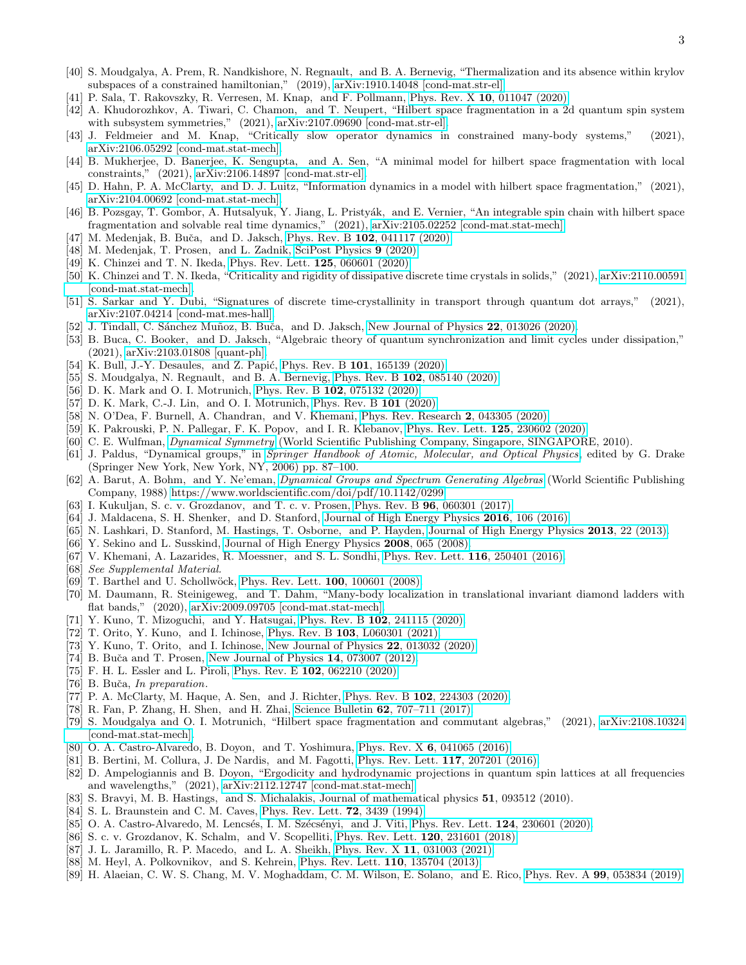- [40] S. Moudgalya, A. Prem, R. Nandkishore, N. Regnault, and B. A. Bernevig, "Thermalization and its absence within krylov subspaces of a constrained hamiltonian," (2019), [arXiv:1910.14048 \[cond-mat.str-el\].](http://arxiv.org/abs/1910.14048)
- [41] P. Sala, T. Rakovszky, R. Verresen, M. Knap, and F. Pollmann, Phys. Rev. X 10[, 011047 \(2020\).](http://dx.doi.org/ 10.1103/PhysRevX.10.011047)
- [42] A. Khudorozhkov, A. Tiwari, C. Chamon, and T. Neupert, "Hilbert space fragmentation in a 2d quantum spin system with subsystem symmetries," (2021), [arXiv:2107.09690 \[cond-mat.str-el\].](http://arxiv.org/abs/2107.09690)
- [43] J. Feldmeier and M. Knap, "Critically slow operator dynamics in constrained many-body systems," (2021), [arXiv:2106.05292 \[cond-mat.stat-mech\].](http://arxiv.org/abs/2106.05292)
- [44] B. Mukherjee, D. Banerjee, K. Sengupta, and A. Sen, "A minimal model for hilbert space fragmentation with local constraints," (2021), [arXiv:2106.14897 \[cond-mat.str-el\].](http://arxiv.org/abs/2106.14897)
- [45] D. Hahn, P. A. McClarty, and D. J. Luitz, "Information dynamics in a model with hilbert space fragmentation," (2021), [arXiv:2104.00692 \[cond-mat.stat-mech\].](http://arxiv.org/abs/2104.00692)
- [46] B. Pozsgay, T. Gombor, A. Hutsalyuk, Y. Jiang, L. Pristy´ak, and E. Vernier, "An integrable spin chain with hilbert space fragmentation and solvable real time dynamics," (2021), [arXiv:2105.02252 \[cond-mat.stat-mech\].](http://arxiv.org/abs/2105.02252)
- [47] M. Medenjak, B. Buča, and D. Jaksch, Phys. Rev. B **102**[, 041117 \(2020\).](http://dx.doi.org/ 10.1103/PhysRevB.102.041117)
- [48] M. Medenjak, T. Prosen, and L. Zadnik, [SciPost Physics](http://dx.doi.org/10.21468/SciPostPhys.9.1.003) 9 (2020).
- [49] K. Chinzei and T. N. Ikeda, [Phys. Rev. Lett.](http://dx.doi.org/10.1103/PhysRevLett.125.060601) 125, 060601 (2020).
- [50] K. Chinzei and T. N. Ikeda, "Criticality and rigidity of dissipative discrete time crystals in solids," (2021), [arXiv:2110.00591](http://arxiv.org/abs/2110.00591) [\[cond-mat.stat-mech\].](http://arxiv.org/abs/2110.00591)
- [51] S. Sarkar and Y. Dubi, "Signatures of discrete time-crystallinity in transport through quantum dot arrays," (2021), [arXiv:2107.04214 \[cond-mat.mes-hall\].](http://arxiv.org/abs/2107.04214)
- [52] J. Tindall, C. Sánchez Muñoz, B. Buča, and D. Jaksch, [New Journal of Physics](http://dx.doi.org/10.1088/1367-2630/ab60f5) 22, 013026 (2020).
- [53] B. Buca, C. Booker, and D. Jaksch, "Algebraic theory of quantum synchronization and limit cycles under dissipation," (2021), [arXiv:2103.01808 \[quant-ph\].](http://arxiv.org/abs/2103.01808)
- [54] K. Bull, J.-Y. Desaules, and Z. Papić, Phys. Rev. B 101[, 165139 \(2020\).](http://dx.doi.org/ 10.1103/PhysRevB.101.165139)
- [55] S. Moudgalya, N. Regnault, and B. A. Bernevig, Phys. Rev. B **102**[, 085140 \(2020\).](http://dx.doi.org/10.1103/PhysRevB.102.085140)
- [56] D. K. Mark and O. I. Motrunich, Phys. Rev. B 102[, 075132 \(2020\).](http://dx.doi.org/10.1103/PhysRevB.102.075132)
- [57] D. K. Mark, C.-J. Lin, and O. I. Motrunich, [Phys. Rev. B](http://dx.doi.org/10.1103/PhysRevB.101.195131) 101 (2020).
- [58] N. O'Dea, F. Burnell, A. Chandran, and V. Khemani, [Phys. Rev. Research](http://dx.doi.org/10.1103/PhysRevResearch.2.043305) 2, 043305 (2020).
- [59] K. Pakrouski, P. N. Pallegar, F. K. Popov, and I. R. Klebanov, [Phys. Rev. Lett.](http://dx.doi.org/10.1103/PhysRevLett.125.230602) 125, 230602 (2020).
- [60] C. E. Wulfman, *[Dynamical Symmetry](http://ebookcentral.proquest.com/lib/oxford/detail.action?docID=731366)* (World Scientific Publishing Company, Singapore, SINGAPORE, 2010).
- [61] J. Paldus, "Dynamical groups," in [Springer Handbook of Atomic, Molecular, and Optical Physics](http://dx.doi.org/10.1007/978-0-387-26308-3_4), edited by G. Drake (Springer New York, New York, NY, 2006) pp. 87–100.
- [62] A. Barut, A. Bohm, and Y. Ne'eman, [Dynamical Groups and Spectrum Generating Algebras](http://dx.doi.org/10.1142/0299) (World Scientific Publishing Company, 1988) [https://www.worldscientific.com/doi/pdf/10.1142/0299.](http://arxiv.org/abs/https://www.worldscientific.com/doi/pdf/10.1142/0299)
- [63] I. Kukuljan, S. c. v. Grozdanov, and T. c. v. Prosen, Phys. Rev. B 96[, 060301 \(2017\).](http://dx.doi.org/10.1103/PhysRevB.96.060301)
- [64] J. Maldacena, S. H. Shenker, and D. Stanford, [Journal of High Energy Physics](http://dx.doi.org/10.1007/JHEP08(2016)106) 2016, 106 (2016).
- [65] N. Lashkari, D. Stanford, M. Hastings, T. Osborne, and P. Hayden, [Journal of High Energy Physics](http://dx.doi.org/ 10.1007/JHEP04(2013)022) 2013, 22 (2013).
- [66] Y. Sekino and L. Susskind, [Journal of High Energy Physics](http://dx.doi.org/10.1088/1126-6708/2008/10/065) 2008, 065 (2008).
- [67] V. Khemani, A. Lazarides, R. Moessner, and S. L. Sondhi, [Phys. Rev. Lett.](http://dx.doi.org/10.1103/PhysRevLett.116.250401) 116, 250401 (2016).
- [68] See Supplemental Material.
- [69] T. Barthel and U. Schollwöck, [Phys. Rev. Lett.](http://dx.doi.org/10.1103/PhysRevLett.100.100601) **100**, 100601 (2008).
- [70] M. Daumann, R. Steinigeweg, and T. Dahm, "Many-body localization in translational invariant diamond ladders with flat bands," (2020), [arXiv:2009.09705 \[cond-mat.stat-mech\].](http://arxiv.org/abs/2009.09705)
- [71] Y. Kuno, T. Mizoguchi, and Y. Hatsugai, Phys. Rev. B 102[, 241115 \(2020\).](http://dx.doi.org/10.1103/PhysRevB.102.241115)
- [72] T. Orito, Y. Kuno, and I. Ichinose, Phys. Rev. B 103[, L060301 \(2021\).](http://dx.doi.org/10.1103/PhysRevB.103.L060301)
- [73] Y. Kuno, T. Orito, and I. Ichinose, [New Journal of Physics](http://dx.doi.org/10.1088/1367-2630/ab6352) 22, 013032 (2020).
- [74] B. Buča and T. Prosen, [New Journal of Physics](http://dx.doi.org/10.1088/1367-2630/14/7/073007) 14, 073007 (2012).
- [75] F. H. L. Essler and L. Piroli, Phys. Rev. E 102[, 062210 \(2020\).](http://dx.doi.org/10.1103/PhysRevE.102.062210)
- [76] B. Buča, In preparation.
- [77] P. A. McClarty, M. Haque, A. Sen, and J. Richter, Phys. Rev. B 102[, 224303 \(2020\).](http://dx.doi.org/ 10.1103/PhysRevB.102.224303)
- [78] R. Fan, P. Zhang, H. Shen, and H. Zhai, Science Bulletin 62[, 707–711 \(2017\).](http://dx.doi.org/ 10.1016/j.scib.2017.04.011)
- [79] S. Moudgalya and O. I. Motrunich, "Hilbert space fragmentation and commutant algebras," (2021), [arXiv:2108.10324](http://arxiv.org/abs/2108.10324) [\[cond-mat.stat-mech\].](http://arxiv.org/abs/2108.10324)
- [80] O. A. Castro-Alvaredo, B. Doyon, and T. Yoshimura, Phys. Rev. X 6[, 041065 \(2016\).](http://dx.doi.org/10.1103/PhysRevX.6.041065)
- [81] B. Bertini, M. Collura, J. De Nardis, and M. Fagotti, [Phys. Rev. Lett.](http://dx.doi.org/10.1103/PhysRevLett.117.207201) 117, 207201 (2016).
- [82] D. Ampelogiannis and B. Doyon, "Ergodicity and hydrodynamic projections in quantum spin lattices at all frequencies and wavelengths," (2021), [arXiv:2112.12747 \[cond-mat.stat-mech\].](http://arxiv.org/abs/2112.12747)
- [83] S. Bravyi, M. B. Hastings, and S. Michalakis, Journal of mathematical physics 51, 093512 (2010).
- [84] S. L. Braunstein and C. M. Caves, [Phys. Rev. Lett.](http://dx.doi.org/10.1103/PhysRevLett.72.3439) **72**, 3439 (1994).
- [85] O. A. Castro-Alvaredo, M. Lencsés, I. M. Szécsényi, and J. Viti, [Phys. Rev. Lett.](http://dx.doi.org/10.1103/PhysRevLett.124.230601) 124, 230601 (2020).
- [86] S. c. v. Grozdanov, K. Schalm, and V. Scopelliti, [Phys. Rev. Lett.](http://dx.doi.org/10.1103/PhysRevLett.120.231601) 120, 231601 (2018).
- [87] J. L. Jaramillo, R. P. Macedo, and L. A. Sheikh, Phys. Rev. X 11[, 031003 \(2021\).](http://dx.doi.org/10.1103/PhysRevX.11.031003)
- [88] M. Heyl, A. Polkovnikov, and S. Kehrein, [Phys. Rev. Lett.](http://dx.doi.org/10.1103/PhysRevLett.110.135704) **110**, 135704 (2013).
- [89] H. Alaeian, C. W. S. Chang, M. V. Moghaddam, C. M. Wilson, E. Solano, and E. Rico, Phys. Rev. A 99[, 053834 \(2019\).](http://dx.doi.org/10.1103/PhysRevA.99.053834)